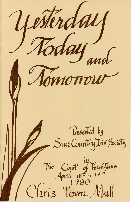Yesterday Romonou Presented by<br>Sun Country Vis Sociéty The Court of Fountains Chris Town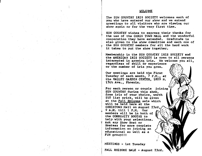#### WELCOME

The SUN COUNTRY IRIS SOCIETY welcomes each of you who have entered our show and we extend greetings to all visitors who are viewing our show again or for the very first time.

SUN COUNTRY wishes to express their thanks for the use of the CHRIS TOWN MALL and the wonderful cooperation they have extended. Graditude is also given to the show committee and each one of<br>the SUN COUNTRY members for all the hard work it takes to put the show together.

Membership in the SUN COUNTRY IRIS SOCIETY and the AMERICAN IRIS SOCIETY is open to all persons interested in growing iris. We welcome you all, regardless of skill or experience or the number of iris you grow.

-

Our meetings are held the First Tuesday of each month, 7 P.M., at the VALLEY GARDEN CENTER, 1809 N. 15th Ave., Phoenix.

I

I

I

 $\overrightarrow{a}$ 

For each person or couple joining<br>SUN COUNTRY during this show, free iris of your choice, worth \$10 list price, will be given<br>at the Fall Rhizome sale which will be held here at the CHRISTOWN Mallon August 23rd, ! 9 A.M. till 1 P.M. Our members will be in both of the COMMUNITY BOOTHS to help with your selections.<br>Ask any Show Host or Hostess for more complete information on joining an educational as well as a FUN group! II

MEETINGS - 1st Tuesday

I }::

FALL RHIZOME SALE - August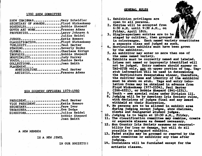## 1980 SHOW COMMITTEE

| SHOW CHAIRMANMary Scheidler<br>SECRETARY OF AWARDS Floyd Wickenkamp |                      |
|---------------------------------------------------------------------|----------------------|
| SCHEDULESBobbie Shepard                                             |                      |
| COVER ART WORKFrances Adams                                         |                      |
| PROPERTIESLarry Johnsen &                                           | <b>Julius Reidel</b> |
| JUDGESKatie Romero                                                  |                      |
| CLASSIFICATION Floyd Wickenkamp                                     |                      |
| PUBLICITYPaul Harter                                                |                      |
| STAGINGBeverly Dopke                                                |                      |
| CLERKSCharlene Errigo                                               |                      |
| TROPHIESBobbie Shepard                                              |                      |
| HOSPITALITYJudy Murray                                              |                      |
| YOUTHEunice Davis                                                   |                      |
| COLLECTIONSJoan Smith                                               |                      |
| PLACEMENT                                                           |                      |
| HORTICULTUREPaul Harter                                             |                      |
|                                                                     |                      |

ARTISTIC................... Frances Adams

## SUN COUNTRY OFFICERS 1979-1980

| PRESIDENTPaul Harter<br>VICE PRESIDENTKatie Romero |                              |
|----------------------------------------------------|------------------------------|
| SECRETARYFaye Ivor<br>TREASUREREve Dodge           |                              |
| DIRECTORSJulius Reidel                             |                              |
|                                                    | Bobbie Shepard<br>Joan Smith |

A NEW MEMBER

IS A NEW JEWEL

IN OUR SOCIETY!!

#### **GENERAL RULES**

,1. Exhibition privileges are

là.

- 2. Entries will be accepted from 6:30 A.M. until  $9:30$  A.M., on Friday, April 18th.
- 
- 3. Single-specimen entries are to be in colorranges. Each named variety constitutes a separate class and judged as such.
- 4. Horticulture exhibits must have been grown by the exhibitor.
- 5. An exhibitor may enter no more than one of<br>the same named variety.
- 6. Exhibits must be correctly named and labeled. Irises not named or improperly identified will not be judged. Entry numbers should appear on TAG-STUB only, <u>not</u> on upper portion of tag. Tag-<br>stub information will be used in determining the Horticulture Sweepstakes winner, therefore, the cultivar name and identity of the exh1bitor must be shown on stub. Tags and entry tabulation forms may be obtained in advance from Floyd Wickenkamp (977-2354), Paul Harter (266-6321), or Bobbie Shepard (841-1231).
- 7. Youth see special rules under Division III.
- 8. Judging will be by American Iris Society rules. with decisions of judges final and any award withheld at their discretion.
- 9. No persons are to be allowed in exhibit area during judging except judges, show chairman, clerks and designated student judges.
- 
- 10. Judging is to begin at  $10:30$  A.M., Friday.<br>11. The classification committee may combine, create<br>or separate classes as deemed necessary.
- 12. Sun Country Iris Society assumes no responsibility for loss or damage, but will do all possible to safeguard exhibits.
- 13. Faded stalks may be groomed or removed by the how committee or exhibitor any time after<br>judging. dudging.<br>14. Containers will be furnished except for the
- artistic classes.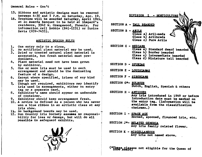## General Rules - Con't

- 15. Ribbons and artistic designs must be removed between 4:30 and 5 P.M. on Saturday, Apr. 19.
- 16. Trophies will be awarded Saturday, April 19th, at an Awards Banquet to be held at Shepard's residence. 3342 W. Orangewood, Phoenix. For information call Bobbie  $(841-1231)$  or Eunice Davis (939-7433).

## ARTISTIC DESIGN RULES

- 1. One entry only to a class.
- 2. No artificial plant material may be used.
- 3. Dried or treated natural plant material is acceptable, but fresh material must pre- dominate.
- 4. Plant material need not have been grown by exhibitor.
- 5. One or more iris must be used in each arrangement and should be the dominating feature of a design.
- 6. Except where specified, irises of any kind
- 7;. may be used.<br>Though not required, exhibitors may identify<br>iris used in arrangements, either on entry iris used in arrangements, either on entry tag or a separate card.
- 8. Exhibitor's name should appear on underside of container.
- 9. Exhibitor should keep arrangement fresh.
- 10. A novice is defined as a person who has never won a blue ribbon in an artistic class at any Iris show.
- 11. No background boards may be used.
- 12. Sun Country Iris Society assumes no responsibility for loss or damage, but will do all possible to safeguard exhibits.



# DIVISION I - HORTICULTURE

SECTION A - TALL BEARDED

- SECTION B ARILS  $Glass a$  Aril-meds Class b) Arilbreds Class c) Pure Arils
- SECTION C MEDIANS Class a) Standard dwarf bearded Clas& b) Border bearded Clas& c) Intermediate bearded Class d) Miniature tall bearded
- SECTION D SPURIAS
- SECTION E LOUISIANAS
- SECTION F SIBERIANS
- SECTION G\*- BULBOUS Dutch, English, Spanish & others
- SECTION  $H ANTIOUES$

Any iria introduced in 1949 or before Introduction date must be marked on ' the entry tag. (Information will be available from the classification chairman.)

- SECTION I SPACE AGE Horned, spooned, flounced iris, etc.
- SECTION J\*- RELATED GENERIA Any iris family related flower.
- SECTION K MISCELLANEOUS Any iris not named above.

(\*These Classes not eligible for the Queen of

1-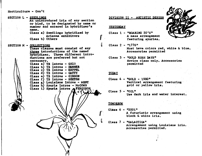## Horticulture - Con't

SECTION L - SEEDLINGS An unintroduced iris of any section or kind, to be designated by name or number and entered in hybridizer's name. Class a) Seedlings hybridized by Arizona exhibitors<br>Class b) Others SECTION M - COLLECTIONS These classes must consist of any three introductions of the named hybridizer. Three difterent introductions are preferred but not necessary.  $Class$  a) TB Intros - GHIO necessary.<br>Class a) TB Intros - GHIO<br>Class b) TB Intros - HAMNER<br>Class c) TB Intros - KEPPEL b) TB Intros - HAMNER<br>c) TB Intros - KEPPEL Class d) TB Intros - GATTY Class e) TB Intros - GIBSON  $Class f)$  TB Intros - SEXTON Class g) Louisiana Intros - ARNY Class h) Spuris Intros - McCOWN Class i) Spuria Intros AFERGUSON XESTERDAY **TODAY** TOMORROW

# DIVISION II - ARTISTIC DESIGN

- Class  $1 -$  "ROARING  $20$ 'S" A mass arrangement featuring spurias.
- Class 2 "1776" Must have colors red, white & blue. Accessories permitted
- Class 3 "GOLD RUSH DAYS" Novice class only. Accessories permitted
- $Class 4 "GOLD 1980"$ Vertical arrangement featuring<br>gold or yellow iris.
- Class  $5 -$ "OIL" Use dark iris and water interest.
- $C1$ ass  $6 -$  "2001" A futuristic arrangement using black & white iris.
- Class 7 "GALACTICA" Arrangement using Louisiana iris. Accessories permitted.

, , . ,

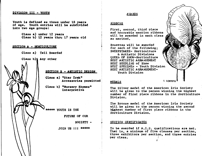### DIVISION III - YOutH

Youth is defined as those under 18 years of age. Youth entries will be subdivided into two age groups:

> Class a) under 12 years Class b) 12 years thru 17 years old

#### SECTION A - HORTICULTURE

Class a) Tall Bearded

Class b) $\lambda$  Any other

SECTION B - ARTISTIC DESIGN

Class a) "Star Trek" Accessories permitted

Class b) "Nursery Rhymes" Interpretive

\*\*\*\*\* YOUTH IS THE

FUTURE OF OUR

SOCIETY -

.JOIN US  $111$  \*\*\*\*\*

### AWARDS

## **RIBBONS**

 $\left\vert \rule{0cm}{2.2cm}\right\vert$ ! I  $\overline{\phantom{a}}$ 

 $\ddot{\phantom{a}}$ I

First, second, third place and honorable mention ribbons will be awarded in each class as merited.

Rosettes will be awarded for each of the following; SWEEPSTAKES- Horticulture & Artistic Divisions OUEEN OF SHOW-Horticulture BEST ARTISTIC ARRANGEMENT BEST SEEDLING of Show BEST SPECIMEN - Youth Division BEST ARTISTIC ARRANGEMENT-Youth Division

# MEDALS **I.** LORTETII

The Silver medal of the American Iris Society will be given to the person winning the highest number of first place ribbons in the Horticulture Division.

The Bronze medal of the American Iris Society will be given to the person winning the second highest number of first place ribbons in the Horticulture Division.

## SECTION CERTIFICATES

To be awarded if A.I.S. qualifications are met. That is, a minimum of five classes per section, three exhibitors per section, and three entries per class. r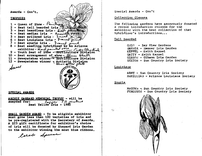

## SPECIAL AWARDS

ARCHIE GARRARD MEMORIAL TROPHY - will be awarded for: ARD MEMORIAL TROPHY - Y<br>Best Yellow Iris - 1980  $\vec{\tau}_\beta$  $-$  will be<br> $\beta$  preture<br>1980

SMALL GARDEN AWARD - To be eligible exhibitor must grow less than tOO varieties of iris and be pre-registered with the Secretary of Awards. A \$25 gift certificate for exhibitor's choice of iris will be donated by Shepard Iris Garden to the exhibitor winning the most blue ribbons.

larde Speed

Special Awards - Con't

### Collection Classes

The following gardens have generously donated a recent introduction rhizome for the exhibitor with the best collection of that hybridizer's introductions...

## Tall Bearded

GHIO - Bay View Gardens HAMNER - Hamner Iris Garden KEPPEL - Keith Keppel GATTY - Keith Keppel GIBSON - Gibson Iris Garden SEXTON - Sun Country Iris Society

#### Louisiana

ARNY - Sun Country Iris Society McMILLIAN - Arizona Louisiana Society

#### Spuria

McCOWN - Sun Country Iris Society FERGUSON - Sun Country Iris Society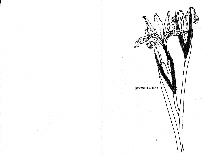IRIS DOUGLASIANA

 $\mathbb{S}^1$